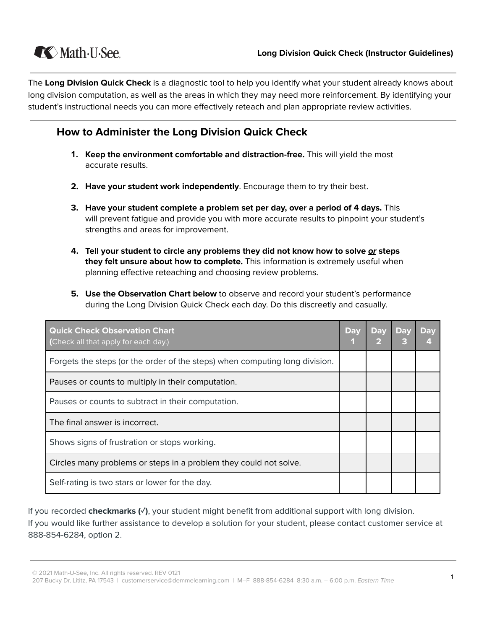

The **Long Division Quick Check** is a diagnostic tool to help you identify what your student already knows about long division computation, as well as the areas in which they may need more reinforcement. By identifying your student's instructional needs you can more effectively reteach and plan appropriate review activities.

## **How to Administer the Long Division Quick Check**

- **1. Keep the environment comfortable and distraction-free.** This will yield the most accurate results.
- **2. Have your student work independently**. Encourage them to try their best.
- **3. Have your student complete a problem set per day, over a period of 4 days.** This will prevent fatigue and provide you with more accurate results to pinpoint your student's strengths and areas for improvement.
- **4. Tell your student to circle any problems they did not know how to solve or steps they felt unsure about how to complete.** This information is extremely useful when planning effective reteaching and choosing review problems.
- **5. Use the Observation Chart below** to observe and record your student's performance during the Long Division Quick Check each day. Do this discreetly and casually.

| <b>Quick Check Observation Chart</b><br>(Check all that apply for each day.) | <b>Day</b> | <b>Day</b> | <b>Day</b> | <b>Day</b> |
|------------------------------------------------------------------------------|------------|------------|------------|------------|
| Forgets the steps (or the order of the steps) when computing long division.  |            |            |            |            |
| Pauses or counts to multiply in their computation.                           |            |            |            |            |
| Pauses or counts to subtract in their computation.                           |            |            |            |            |
| The final answer is incorrect.                                               |            |            |            |            |
| Shows signs of frustration or stops working.                                 |            |            |            |            |
| Circles many problems or steps in a problem they could not solve.            |            |            |            |            |
| Self-rating is two stars or lower for the day.                               |            |            |            |            |

If you recorded **checkmarks (✓)**, your student might benefit from additional support with long division. If you would like further assistance to develop a solution for your student, please contact customer service at 888-854-6284, option 2.

<sup>©</sup> 2021 Math-U-See, Inc. All rights reserved. REV 0121

<sup>207</sup> Bucky Dr, Lititz, PA 17543 | customerservice@demmelearning.com | M-F 888-854-6284 8:30 a.m. - 6:00 p.m. Eastern Time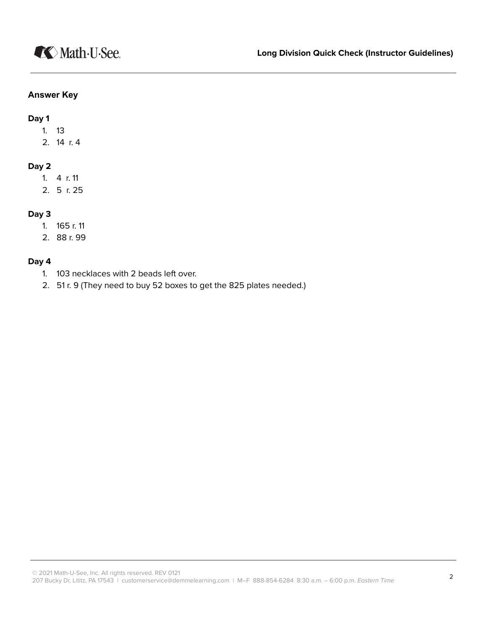### **Answer Key**

**Day 1**

- 1. 13
- 2. 14 r. 4

### **Day 2**

- 1. 4 r. 11
- 2. 5 r. 25

### **Day 3**

- 1. 165 r. 11
- 2. 88 r. 99

### **Day 4**

- 1. 103 necklaces with 2 beads left over.
- 2. 51 r. 9 (They need to buy 52 boxes to get the 825 plates needed.)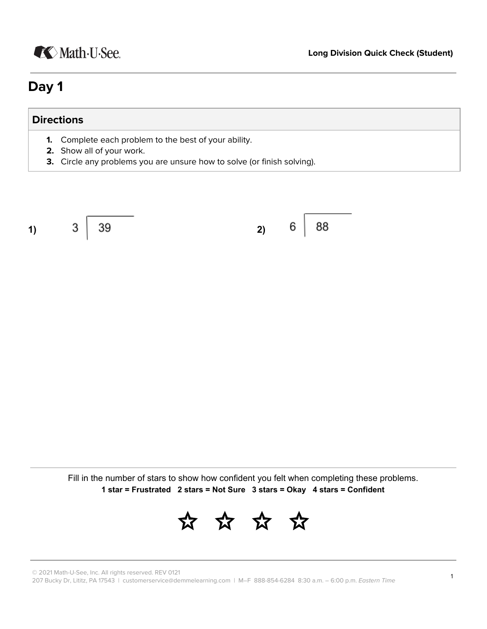# **K** Math U See.

# **Day 1**

## **Directions**

- **1.** Complete each problem to the best of your ability.
- **2.** Show all of your work.
- **3.** Circle any problems you are unsure how to solve (or finish solving).

**1) 2)**

6

88

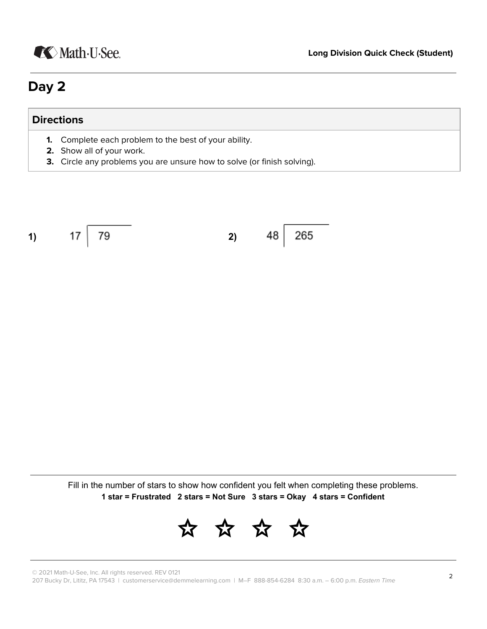# **K** Math U See.

# **Day 2**

### **Directions**

- **1.** Complete each problem to the best of your ability.
- **2.** Show all of your work.
- **3.** Circle any problems you are unsure how to solve (or finish solving).

$$
1) \t 17 \t 79 \t 2) \t 48 \t 265
$$

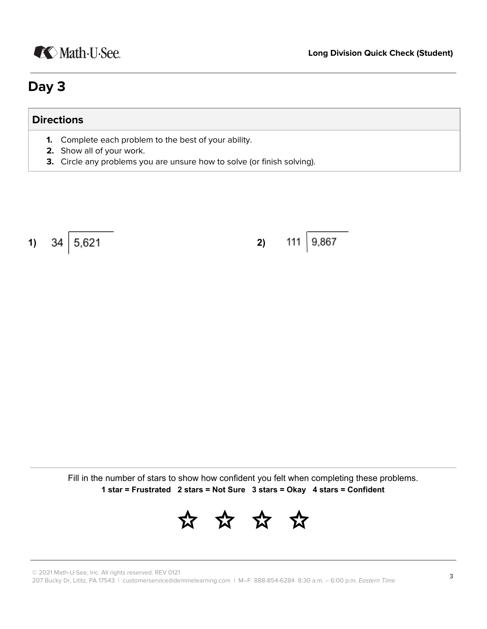

# **Day 3**

## **Directions**

- **1.** Complete each problem to the best of your ability.
- **2.** Show all of your work.
- **3.** Circle any problems you are unsure how to solve (or finish solving).

**1)**  $34 \mid 5,621$  **2)** 

 $|9,867$ 111